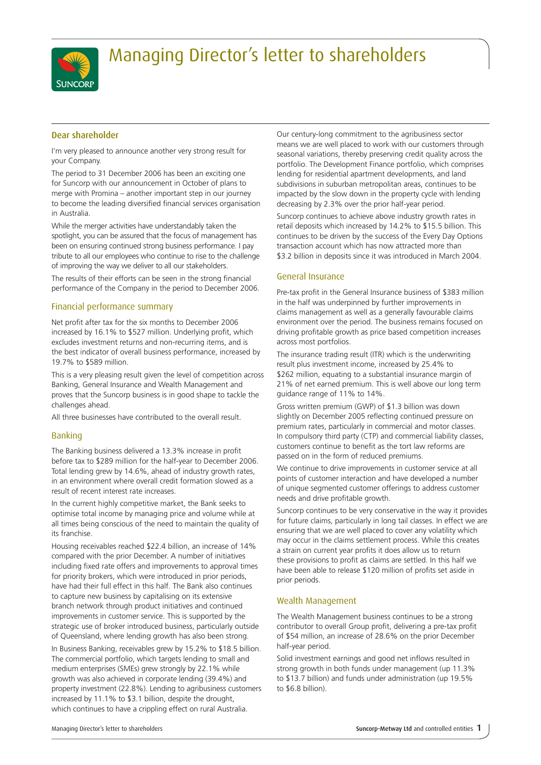

# Managing Director's letter to shareholders

# Dear shareholder

I'm very pleased to announce another very strong result for your Company.

The period to 31 December 2006 has been an exciting one for Suncorp with our announcement in October of plans to merge with Promina – another important step in our journey to become the leading diversified financial services organisation in Australia.

While the merger activities have understandably taken the spotlight, you can be assured that the focus of management has been on ensuring continued strong business performance. I pay tribute to all our employees who continue to rise to the challenge of improving the way we deliver to all our stakeholders.

The results of their efforts can be seen in the strong financial performance of the Company in the period to December 2006.

# Financial performance summary

Net profit after tax for the six months to December 2006 increased by 16.1% to \$527 million. Underlying profit, which excludes investment returns and non-recurring items, and is the best indicator of overall business performance, increased by 19.7% to \$589 million.

This is a very pleasing result given the level of competition across Banking, General Insurance and Wealth Management and proves that the Suncorp business is in good shape to tackle the challenges ahead.

All three businesses have contributed to the overall result.

## Banking

The Banking business delivered a 13.3% increase in profit before tax to \$289 million for the half-year to December 2006. Total lending grew by 14.6%, ahead of industry growth rates, in an environment where overall credit formation slowed as a result of recent interest rate increases.

In the current highly competitive market, the Bank seeks to optimise total income by managing price and volume while at all times being conscious of the need to maintain the quality of its franchise.

Housing receivables reached \$22.4 billion, an increase of 14% compared with the prior December. A number of initiatives including fixed rate offers and improvements to approval times for priority brokers, which were introduced in prior periods, have had their full effect in this half. The Bank also continues to capture new business by capitalising on its extensive branch network through product initiatives and continued improvements in customer service. This is supported by the strategic use of broker introduced business, particularly outside of Queensland, where lending growth has also been strong.

In Business Banking, receivables grew by 15.2% to \$18.5 billion. The commercial portfolio, which targets lending to small and medium enterprises (SMEs) grew strongly by 22.1% while growth was also achieved in corporate lending (39.4%) and property investment (22.8%). Lending to agribusiness customers increased by 11.1% to \$3.1 billion, despite the drought, which continues to have a crippling effect on rural Australia.

Our century-long commitment to the agribusiness sector means we are well placed to work with our customers through seasonal variations, thereby preserving credit quality across the portfolio. The Development Finance portfolio, which comprises lending for residential apartment developments, and land subdivisions in suburban metropolitan areas, continues to be impacted by the slow down in the property cycle with lending decreasing by 2.3% over the prior half-year period.

Suncorp continues to achieve above industry growth rates in retail deposits which increased by 14.2% to \$15.5 billion. This continues to be driven by the success of the Every Day Options transaction account which has now attracted more than \$3.2 billion in deposits since it was introduced in March 2004.

# General Insurance

Pre-tax profit in the General Insurance business of \$383 million in the half was underpinned by further improvements in claims management as well as a generally favourable claims environment over the period. The business remains focused on driving profitable growth as price based competition increases across most portfolios.

The insurance trading result (ITR) which is the underwriting result plus investment income, increased by 25.4% to \$262 million, equating to a substantial insurance margin of 21% of net earned premium. This is well above our long term guidance range of 11% to 14%.

Gross written premium (GWP) of \$1.3 billion was down slightly on December 2005 reflecting continued pressure on premium rates, particularly in commercial and motor classes. In compulsory third party (CTP) and commercial liability classes, customers continue to benefit as the tort law reforms are passed on in the form of reduced premiums.

We continue to drive improvements in customer service at all points of customer interaction and have developed a number of unique segmented customer offerings to address customer needs and drive profitable growth.

Suncorp continues to be very conservative in the way it provides for future claims, particularly in long tail classes. In effect we are ensuring that we are well placed to cover any volatility which may occur in the claims settlement process. While this creates a strain on current year profits it does allow us to return these provisions to profit as claims are settled. In this half we have been able to release \$120 million of profits set aside in prior periods.

## Wealth Management

The Wealth Management business continues to be a strong contributor to overall Group profit, delivering a pre-tax profit of \$54 million, an increase of 28.6% on the prior December half-year period.

Solid investment earnings and good net inflows resulted in strong growth in both funds under management (up 11.3% to \$13.7 billion) and funds under administration (up 19.5% to \$6.8 billion).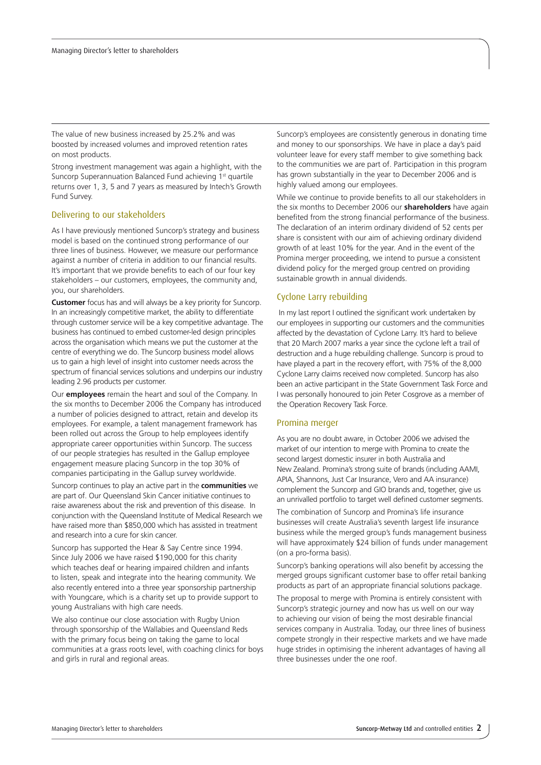The value of new business increased by 25.2% and was boosted by increased volumes and improved retention rates on most products.

Strong investment management was again a highlight, with the Suncorp Superannuation Balanced Fund achieving 1<sup>st</sup> quartile returns over 1, 3, 5 and 7 years as measured by Intech's Growth Fund Survey.

#### Delivering to our stakeholders

As I have previously mentioned Suncorp's strategy and business model is based on the continued strong performance of our three lines of business. However, we measure our performance against a number of criteria in addition to our financial results. It's important that we provide benefits to each of our four key stakeholders – our customers, employees, the community and, you, our shareholders.

**Customer** focus has and will always be a key priority for Suncorp. In an increasingly competitive market, the ability to differentiate through customer service will be a key competitive advantage. The business has continued to embed customer-led design principles across the organisation which means we put the customer at the centre of everything we do. The Suncorp business model allows us to gain a high level of insight into customer needs across the spectrum of financial services solutions and underpins our industry leading 2.96 products per customer.

Our **employees** remain the heart and soul of the Company. In the six months to December 2006 the Company has introduced a number of policies designed to attract, retain and develop its employees. For example, a talent management framework has been rolled out across the Group to help employees identify appropriate career opportunities within Suncorp. The success of our people strategies has resulted in the Gallup employee engagement measure placing Suncorp in the top 30% of companies participating in the Gallup survey worldwide.

Suncorp continues to play an active part in the **communities** we are part of. Our Queensland Skin Cancer initiative continues to raise awareness about the risk and prevention of this disease. In conjunction with the Queensland Institute of Medical Research we have raised more than \$850,000 which has assisted in treatment and research into a cure for skin cancer.

Suncorp has supported the Hear & Say Centre since 1994. Since July 2006 we have raised \$190,000 for this charity which teaches deaf or hearing impaired children and infants to listen, speak and integrate into the hearing community. We also recently entered into a three year sponsorship partnership with Youngcare, which is a charity set up to provide support to young Australians with high care needs.

We also continue our close association with Rugby Union through sponsorship of the Wallabies and Queensland Reds with the primary focus being on taking the game to local communities at a grass roots level, with coaching clinics for boys and girls in rural and regional areas.

Suncorp's employees are consistently generous in donating time and money to our sponsorships. We have in place a day's paid volunteer leave for every staff member to give something back to the communities we are part of. Participation in this program has grown substantially in the year to December 2006 and is highly valued among our employees.

While we continue to provide benefits to all our stakeholders in the six months to December 2006 our **shareholders** have again benefited from the strong financial performance of the business. The declaration of an interim ordinary dividend of 52 cents per share is consistent with our aim of achieving ordinary dividend growth of at least 10% for the year. And in the event of the Promina merger proceeding, we intend to pursue a consistent dividend policy for the merged group centred on providing sustainable growth in annual dividends.

## Cyclone Larry rebuilding

 In my last report I outlined the significant work undertaken by our employees in supporting our customers and the communities affected by the devastation of Cyclone Larry. It's hard to believe that 20 March 2007 marks a year since the cyclone left a trail of destruction and a huge rebuilding challenge. Suncorp is proud to have played a part in the recovery effort, with 75% of the 8,000 Cyclone Larry claims received now completed. Suncorp has also been an active participant in the State Government Task Force and I was personally honoured to join Peter Cosgrove as a member of the Operation Recovery Task Force.

#### Promina merger

As you are no doubt aware, in October 2006 we advised the market of our intention to merge with Promina to create the second largest domestic insurer in both Australia and New Zealand. Promina's strong suite of brands (including AAMI, APIA, Shannons, Just Car Insurance, Vero and AA insurance) complement the Suncorp and GIO brands and, together, give us an unrivalled portfolio to target well defined customer segments.

The combination of Suncorp and Promina's life insurance businesses will create Australia's seventh largest life insurance business while the merged group's funds management business will have approximately \$24 billion of funds under management (on a pro-forma basis).

Suncorp's banking operations will also benefit by accessing the merged groups significant customer base to offer retail banking products as part of an appropriate financial solutions package.

The proposal to merge with Promina is entirely consistent with Suncorp's strategic journey and now has us well on our way to achieving our vision of being the most desirable financial services company in Australia. Today, our three lines of business compete strongly in their respective markets and we have made huge strides in optimising the inherent advantages of having all three businesses under the one roof.